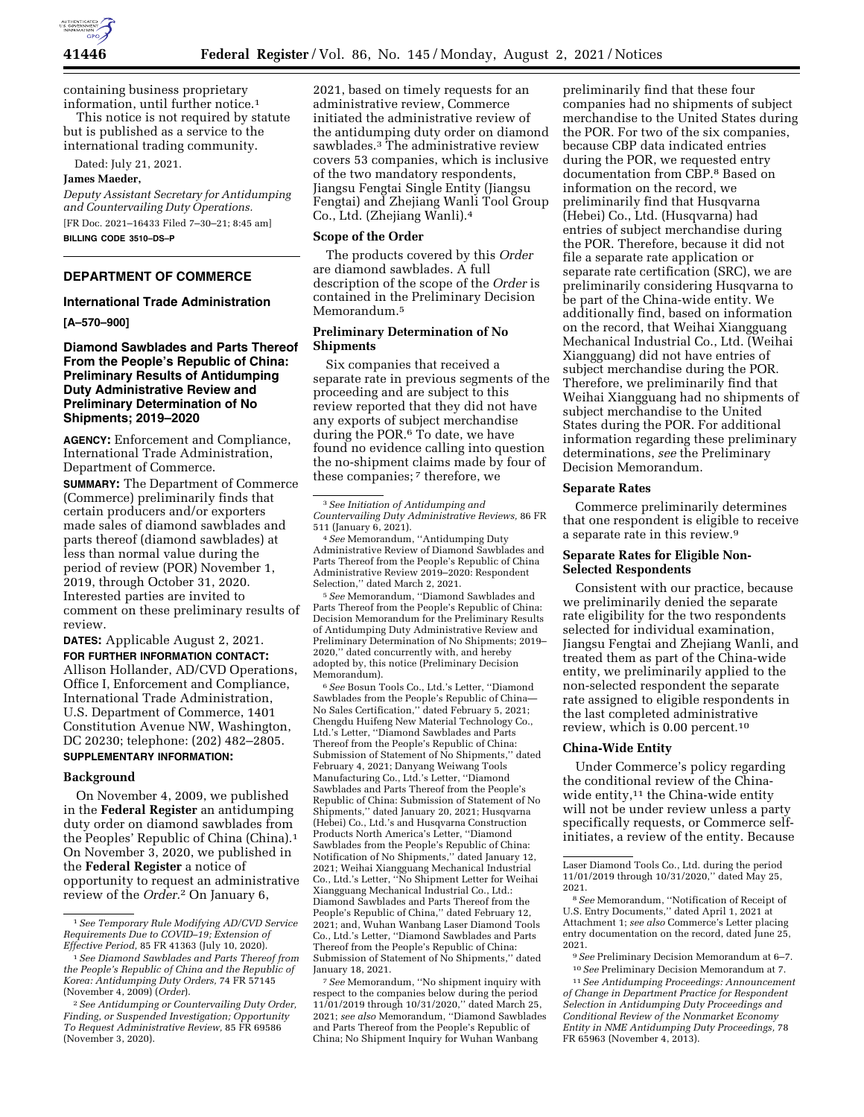

containing business proprietary information, until further notice.1

This notice is not required by statute but is published as a service to the international trading community.

Dated: July 21, 2021.

#### **James Maeder,**

*Deputy Assistant Secretary for Antidumping and Countervailing Duty Operations.*  [FR Doc. 2021–16433 Filed 7–30–21; 8:45 am] **BILLING CODE 3510–DS–P** 

# **DEPARTMENT OF COMMERCE**

# **International Trade Administration**

**[A–570–900]** 

## **Diamond Sawblades and Parts Thereof From the People's Republic of China: Preliminary Results of Antidumping Duty Administrative Review and Preliminary Determination of No Shipments; 2019–2020**

**AGENCY:** Enforcement and Compliance, International Trade Administration, Department of Commerce.

**SUMMARY:** The Department of Commerce (Commerce) preliminarily finds that certain producers and/or exporters made sales of diamond sawblades and parts thereof (diamond sawblades) at less than normal value during the period of review (POR) November 1, 2019, through October 31, 2020. Interested parties are invited to comment on these preliminary results of review.

**DATES:** Applicable August 2, 2021.

**FOR FURTHER INFORMATION CONTACT:**  Allison Hollander, AD/CVD Operations, Office I, Enforcement and Compliance, International Trade Administration, U.S. Department of Commerce, 1401 Constitution Avenue NW, Washington, DC 20230; telephone: (202) 482–2805. **SUPPLEMENTARY INFORMATION:** 

# **Background**

On November 4, 2009, we published in the **Federal Register** an antidumping duty order on diamond sawblades from the Peoples' Republic of China (China).1 On November 3, 2020, we published in the **Federal Register** a notice of opportunity to request an administrative review of the *Order.*2 On January 6,

2021, based on timely requests for an administrative review, Commerce initiated the administrative review of the antidumping duty order on diamond sawblades.3 The administrative review covers 53 companies, which is inclusive of the two mandatory respondents, Jiangsu Fengtai Single Entity (Jiangsu Fengtai) and Zhejiang Wanli Tool Group Co., Ltd. (Zhejiang Wanli).4

#### **Scope of the Order**

The products covered by this *Order*  are diamond sawblades. A full description of the scope of the *Order* is contained in the Preliminary Decision Memorandum.5

## **Preliminary Determination of No Shipments**

Six companies that received a separate rate in previous segments of the proceeding and are subject to this review reported that they did not have any exports of subject merchandise during the POR.<sup>6</sup> To date, we have found no evidence calling into question the no-shipment claims made by four of these companies; 7 therefore, we

4*See* Memorandum, ''Antidumping Duty Administrative Review of Diamond Sawblades and Parts Thereof from the People's Republic of China Administrative Review 2019–2020: Respondent Selection,'' dated March 2, 2021.

5*See* Memorandum, ''Diamond Sawblades and Parts Thereof from the People's Republic of China: Decision Memorandum for the Preliminary Results of Antidumping Duty Administrative Review and Preliminary Determination of No Shipments; 2019– 2020,'' dated concurrently with, and hereby adopted by, this notice (Preliminary Decision Memorandum).

6*See* Bosun Tools Co., Ltd.'s Letter, ''Diamond Sawblades from the People's Republic of China— No Sales Certification,'' dated February 5, 2021; Chengdu Huifeng New Material Technology Co., Ltd.'s Letter, ''Diamond Sawblades and Parts Thereof from the People's Republic of China: Submission of Statement of No Shipments,'' dated February 4, 2021; Danyang Weiwang Tools Manufacturing Co., Ltd.'s Letter, ''Diamond Sawblades and Parts Thereof from the People's Republic of China: Submission of Statement of No Shipments,'' dated January 20, 2021; Husqvarna (Hebei) Co., Ltd.'s and Husqvarna Construction Products North America's Letter, ''Diamond Sawblades from the People's Republic of China: Notification of No Shipments,'' dated January 12, 2021; Weihai Xiangguang Mechanical Industrial Co., Ltd.'s Letter, ''No Shipment Letter for Weihai Xiangguang Mechanical Industrial Co., Ltd.: Diamond Sawblades and Parts Thereof from the People's Republic of China,'' dated February 12, 2021; and, Wuhan Wanbang Laser Diamond Tools Co., Ltd.'s Letter, ''Diamond Sawblades and Parts Thereof from the People's Republic of China: Submission of Statement of No Shipments,'' dated January 18, 2021.

7*See* Memorandum, ''No shipment inquiry with respect to the companies below during the period 11/01/2019 through 10/31/2020,'' dated March 25, 2021; *see also* Memorandum, ''Diamond Sawblades and Parts Thereof from the People's Republic of China; No Shipment Inquiry for Wuhan Wanbang

preliminarily find that these four companies had no shipments of subject merchandise to the United States during the POR. For two of the six companies, because CBP data indicated entries during the POR, we requested entry documentation from CBP.8 Based on information on the record, we preliminarily find that Husqvarna (Hebei) Co., Ltd. (Husqvarna) had entries of subject merchandise during the POR. Therefore, because it did not file a separate rate application or separate rate certification (SRC), we are preliminarily considering Husqvarna to be part of the China-wide entity. We additionally find, based on information on the record, that Weihai Xiangguang Mechanical Industrial Co., Ltd. (Weihai Xiangguang) did not have entries of subject merchandise during the POR. Therefore, we preliminarily find that Weihai Xiangguang had no shipments of subject merchandise to the United States during the POR. For additional information regarding these preliminary determinations, *see* the Preliminary Decision Memorandum.

#### **Separate Rates**

Commerce preliminarily determines that one respondent is eligible to receive a separate rate in this review.9

#### **Separate Rates for Eligible Non-Selected Respondents**

Consistent with our practice, because we preliminarily denied the separate rate eligibility for the two respondents selected for individual examination, Jiangsu Fengtai and Zhejiang Wanli, and treated them as part of the China-wide entity, we preliminarily applied to the non-selected respondent the separate rate assigned to eligible respondents in the last completed administrative review, which is 0.00 percent.10

#### **China-Wide Entity**

Under Commerce's policy regarding the conditional review of the Chinawide entity,<sup>11</sup> the China-wide entity will not be under review unless a party specifically requests, or Commerce selfinitiates, a review of the entity. Because

Laser Diamond Tools Co., Ltd. during the period 11/01/2019 through 10/31/2020,'' dated May 25, 2021.

8*See* Memorandum, ''Notification of Receipt of U.S. Entry Documents,'' dated April 1, 2021 at Attachment 1; *see also* Commerce's Letter placing entry documentation on the record, dated June 25, 2021.

9*See* Preliminary Decision Memorandum at 6–7. 10*See* Preliminary Decision Memorandum at 7.

11*See Antidumping Proceedings: Announcement of Change in Department Practice for Respondent Selection in Antidumping Duty Proceedings and Conditional Review of the Nonmarket Economy Entity in NME Antidumping Duty Proceedings,* 78 FR 65963 (November 4, 2013).

<sup>1</sup>*See Temporary Rule Modifying AD/CVD Service Requirements Due to COVID–19; Extension of Effective Period,* 85 FR 41363 (July 10, 2020).

<sup>1</sup>*See Diamond Sawblades and Parts Thereof from the People's Republic of China and the Republic of Korea: Antidumping Duty Orders,* 74 FR 57145 (November 4, 2009) (*Order*).

<sup>2</sup>*See Antidumping or Countervailing Duty Order, Finding, or Suspended Investigation; Opportunity To Request Administrative Review,* 85 FR 69586 (November 3, 2020).

<sup>3</sup>*See Initiation of Antidumping and Countervailing Duty Administrative Reviews,* 86 FR 511 (January 6, 2021).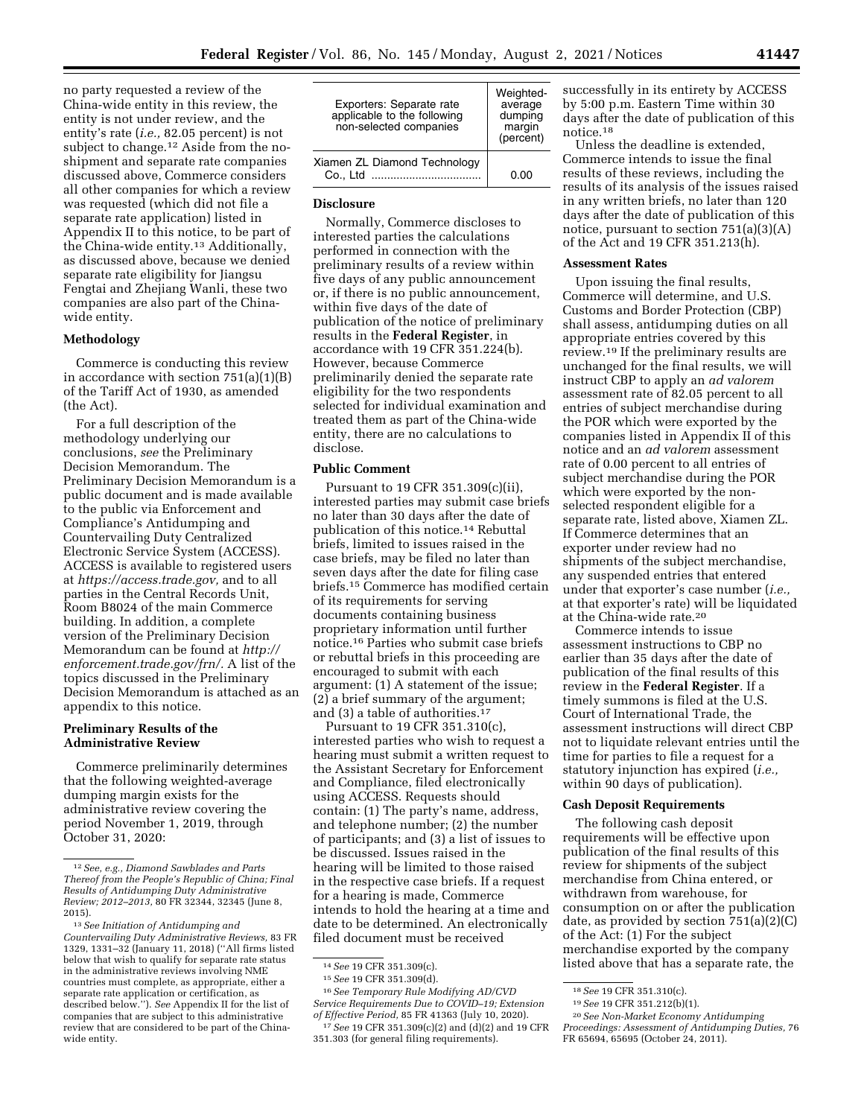no party requested a review of the China-wide entity in this review, the entity is not under review, and the entity's rate (*i.e.,* 82.05 percent) is not subject to change.<sup>12</sup> Aside from the noshipment and separate rate companies discussed above, Commerce considers all other companies for which a review was requested (which did not file a separate rate application) listed in Appendix II to this notice, to be part of the China-wide entity.13 Additionally, as discussed above, because we denied separate rate eligibility for Jiangsu Fengtai and Zhejiang Wanli, these two companies are also part of the Chinawide entity.

## **Methodology**

Commerce is conducting this review in accordance with section 751(a)(1)(B) of the Tariff Act of 1930, as amended (the Act).

For a full description of the methodology underlying our conclusions, *see* the Preliminary Decision Memorandum. The Preliminary Decision Memorandum is a public document and is made available to the public via Enforcement and Compliance's Antidumping and Countervailing Duty Centralized Electronic Service System (ACCESS). ACCESS is available to registered users at *[https://access.trade.gov,](https://access.trade.gov)* and to all parties in the Central Records Unit, Room B8024 of the main Commerce building. In addition, a complete version of the Preliminary Decision Memorandum can be found at *[http://](http://enforcement.trade.gov/frn/) [enforcement.trade.gov/frn/.](http://enforcement.trade.gov/frn/)* A list of the topics discussed in the Preliminary Decision Memorandum is attached as an appendix to this notice.

#### **Preliminary Results of the Administrative Review**

Commerce preliminarily determines that the following weighted-average dumping margin exists for the administrative review covering the period November 1, 2019, through October 31, 2020:

| Exporters: Separate rate<br>applicable to the following<br>non-selected companies | Weighted-<br>average<br>dumping<br>margin<br>(percent) |
|-----------------------------------------------------------------------------------|--------------------------------------------------------|
| Xiamen ZL Diamond Technology<br>Co., Ltd                                          | ი იი                                                   |

## **Disclosure**

Normally, Commerce discloses to interested parties the calculations performed in connection with the preliminary results of a review within five days of any public announcement or, if there is no public announcement, within five days of the date of publication of the notice of preliminary results in the **Federal Register**, in accordance with 19 CFR 351.224(b). However, because Commerce preliminarily denied the separate rate eligibility for the two respondents selected for individual examination and treated them as part of the China-wide entity, there are no calculations to disclose.

### **Public Comment**

Pursuant to 19 CFR 351.309(c)(ii), interested parties may submit case briefs no later than 30 days after the date of publication of this notice.14 Rebuttal briefs, limited to issues raised in the case briefs, may be filed no later than seven days after the date for filing case briefs.15 Commerce has modified certain of its requirements for serving documents containing business proprietary information until further notice.16 Parties who submit case briefs or rebuttal briefs in this proceeding are encouraged to submit with each argument: (1) A statement of the issue; (2) a brief summary of the argument; and (3) a table of authorities.17

Pursuant to 19 CFR 351.310(c), interested parties who wish to request a hearing must submit a written request to the Assistant Secretary for Enforcement and Compliance, filed electronically using ACCESS. Requests should contain: (1) The party's name, address, and telephone number; (2) the number of participants; and (3) a list of issues to be discussed. Issues raised in the hearing will be limited to those raised in the respective case briefs. If a request for a hearing is made, Commerce intends to hold the hearing at a time and date to be determined. An electronically filed document must be received

16*See Temporary Rule Modifying AD/CVD Service Requirements Due to COVID–19; Extension of Effective Period,* 85 FR 41363 (July 10, 2020).

successfully in its entirety by ACCESS by 5:00 p.m. Eastern Time within 30 days after the date of publication of this notice.18

Unless the deadline is extended, Commerce intends to issue the final results of these reviews, including the results of its analysis of the issues raised in any written briefs, no later than 120 days after the date of publication of this notice, pursuant to section 751(a)(3)(A) of the Act and 19 CFR 351.213(h).

#### **Assessment Rates**

Upon issuing the final results, Commerce will determine, and U.S. Customs and Border Protection (CBP) shall assess, antidumping duties on all appropriate entries covered by this review.19 If the preliminary results are unchanged for the final results, we will instruct CBP to apply an *ad valorem*  assessment rate of 82.05 percent to all entries of subject merchandise during the POR which were exported by the companies listed in Appendix II of this notice and an *ad valorem* assessment rate of 0.00 percent to all entries of subject merchandise during the POR which were exported by the nonselected respondent eligible for a separate rate, listed above, Xiamen ZL. If Commerce determines that an exporter under review had no shipments of the subject merchandise, any suspended entries that entered under that exporter's case number (*i.e.,*  at that exporter's rate) will be liquidated at the China-wide rate.20

Commerce intends to issue assessment instructions to CBP no earlier than 35 days after the date of publication of the final results of this review in the **Federal Register**. If a timely summons is filed at the U.S. Court of International Trade, the assessment instructions will direct CBP not to liquidate relevant entries until the time for parties to file a request for a statutory injunction has expired (*i.e.,*  within 90 days of publication).

## **Cash Deposit Requirements**

The following cash deposit requirements will be effective upon publication of the final results of this review for shipments of the subject merchandise from China entered, or withdrawn from warehouse, for consumption on or after the publication date, as provided by section 751(a)(2)(C) of the Act: (1) For the subject merchandise exported by the company listed above that has a separate rate, the

<sup>12</sup>*See, e.g., Diamond Sawblades and Parts Thereof from the People's Republic of China; Final Results of Antidumping Duty Administrative Review; 2012–2013,* 80 FR 32344, 32345 (June 8, 2015).

<sup>13</sup>*See Initiation of Antidumping and Countervailing Duty Administrative Reviews,* 83 FR 1329, 1331–32 (January 11, 2018) (''All firms listed below that wish to qualify for separate rate status in the administrative reviews involving NME countries must complete, as appropriate, either a separate rate application or certification, as described below.''). *See* Appendix II for the list of companies that are subject to this administrative review that are considered to be part of the Chinawide entity.

<sup>14</sup>*See* 19 CFR 351.309(c).

<sup>15</sup>*See* 19 CFR 351.309(d).

<sup>17</sup>*See* 19 CFR 351.309(c)(2) and (d)(2) and 19 CFR 351.303 (for general filing requirements).

<sup>18</sup>*See* 19 CFR 351.310(c).

<sup>19</sup>*See* 19 CFR 351.212(b)(1).

<sup>20</sup>*See Non-Market Economy Antidumping Proceedings: Assessment of Antidumping Duties,* 76 FR 65694, 65695 (October 24, 2011).